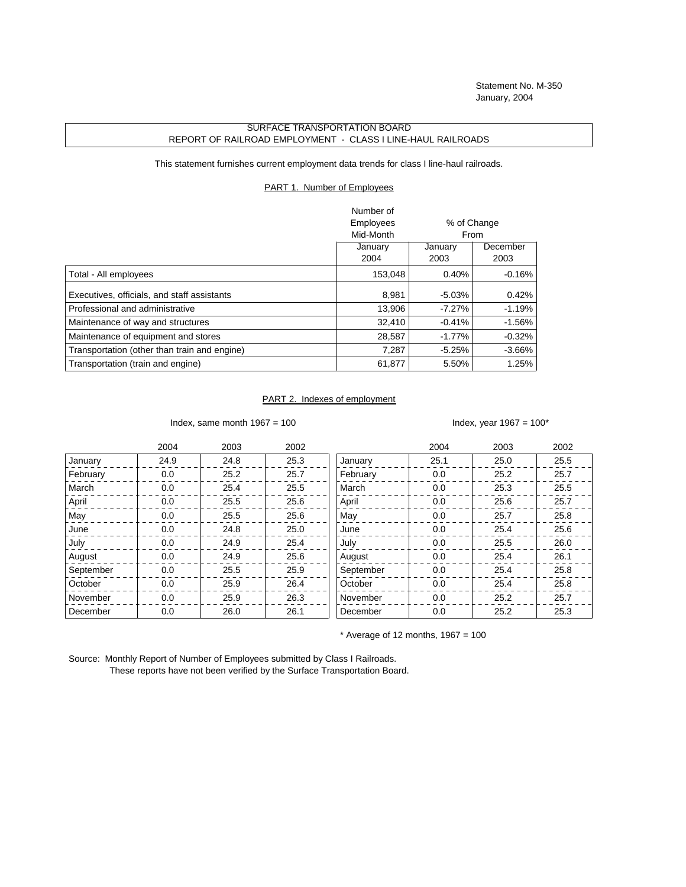## SURFACE TRANSPORTATION BOARD REPORT OF RAILROAD EMPLOYMENT - CLASS I LINE-HAUL RAILROADS

This statement furnishes current employment data trends for class I line-haul railroads.

## PART 1. Number of Employees

|                                              | Number of |             |           |  |
|----------------------------------------------|-----------|-------------|-----------|--|
|                                              | Employees | % of Change |           |  |
|                                              | Mid-Month | From        |           |  |
|                                              | January   | January     | December  |  |
|                                              | 2004      | 2003        | 2003      |  |
| Total - All employees                        | 153,048   | 0.40%       | $-0.16%$  |  |
| Executives, officials, and staff assistants  | 8,981     | $-5.03\%$   | 0.42%     |  |
| Professional and administrative              | 13,906    | $-7.27\%$   | $-1.19%$  |  |
| Maintenance of way and structures            | 32,410    | $-0.41%$    | $-1.56\%$ |  |
| Maintenance of equipment and stores          | 28,587    | $-1.77\%$   | $-0.32%$  |  |
| Transportation (other than train and engine) | 7.287     | $-5.25%$    | $-3.66\%$ |  |
| Transportation (train and engine)            | 61,877    | 5.50%       | 1.25%     |  |

## PART 2. Indexes of employment

Index, same month  $1967 = 100$  Index, year  $1967 = 100*$ 

|           | 2004 | 2003 | 2002 |           | 2004 | 2003 | 2002 |
|-----------|------|------|------|-----------|------|------|------|
| January   | 24.9 | 24.8 | 25.3 | January   | 25.1 | 25.0 | 25.5 |
| February  | 0.0  | 25.2 | 25.7 | February  | 0.0  | 25.2 | 25.7 |
| March     | 0.0  | 25.4 | 25.5 | March     | 0.0  | 25.3 | 25.5 |
| April     | 0.0  | 25.5 | 25.6 | April     | 0.0  | 25.6 | 25.7 |
| May       | 0.0  | 25.5 | 25.6 | May       | 0.0  | 25.7 | 25.8 |
| June      | 0.0  | 24.8 | 25.0 | June      | 0.0  | 25.4 | 25.6 |
| July      | 0.0  | 24.9 | 25.4 | July      | 0.0  | 25.5 | 26.0 |
| August    | 0.0  | 24.9 | 25.6 | August    | 0.0  | 25.4 | 26.1 |
| September | 0.0  | 25.5 | 25.9 | September | 0.0  | 25.4 | 25.8 |
| October   | 0.0  | 25.9 | 26.4 | October   | 0.0  | 25.4 | 25.8 |
| November  | 0.0  | 25.9 | 26.3 | November  | 0.0  | 25.2 | 25.7 |
| December  | 0.0  | 26.0 | 26.1 | December  | 0.0  | 25.2 | 25.3 |

 $*$  Average of 12 months, 1967 = 100

Source: Monthly Report of Number of Employees submitted by Class I Railroads. These reports have not been verified by the Surface Transportation Board.